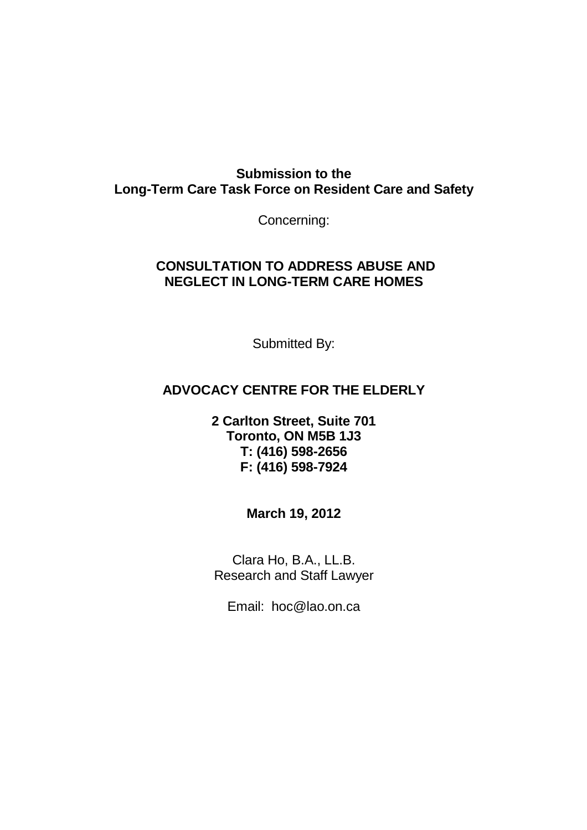# **Submission to the Long-Term Care Task Force on Resident Care and Safety**

Concerning:

# **CONSULTATION TO ADDRESS ABUSE AND NEGLECT IN LONG-TERM CARE HOMES**

Submitted By:

# **ADVOCACY CENTRE FOR THE ELDERLY**

**2 Carlton Street, Suite 701 Toronto, ON M5B 1J3 T: (416) 598-2656 F: (416) 598-7924** 

**March 19, 2012** 

Clara Ho, B.A., LL.B. Research and Staff Lawyer

Email: hoc@lao.on.ca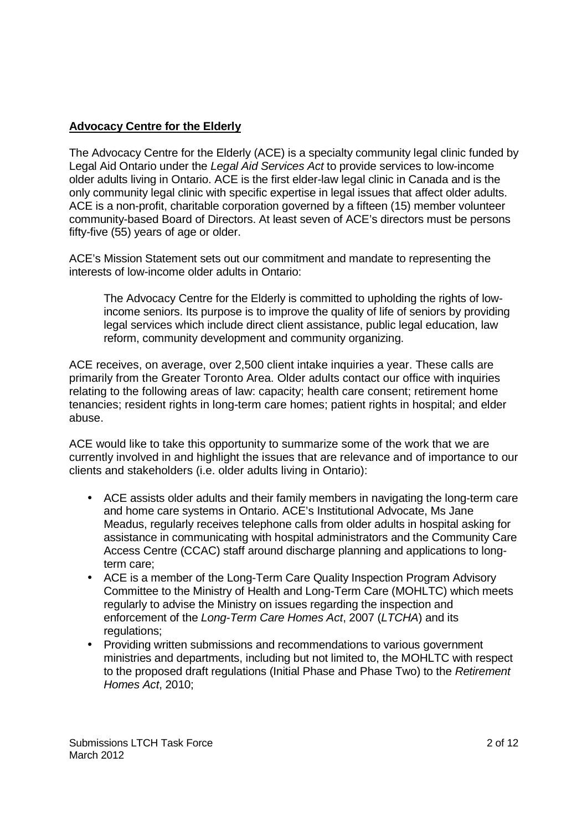### **Advocacy Centre for the Elderly**

The Advocacy Centre for the Elderly (ACE) is a specialty community legal clinic funded by Legal Aid Ontario under the Legal Aid Services Act to provide services to low-income older adults living in Ontario. ACE is the first elder-law legal clinic in Canada and is the only community legal clinic with specific expertise in legal issues that affect older adults. ACE is a non-profit, charitable corporation governed by a fifteen (15) member volunteer community-based Board of Directors. At least seven of ACE's directors must be persons fifty-five (55) years of age or older.

ACE's Mission Statement sets out our commitment and mandate to representing the interests of low-income older adults in Ontario:

The Advocacy Centre for the Elderly is committed to upholding the rights of lowincome seniors. Its purpose is to improve the quality of life of seniors by providing legal services which include direct client assistance, public legal education, law reform, community development and community organizing.

ACE receives, on average, over 2,500 client intake inquiries a year. These calls are primarily from the Greater Toronto Area. Older adults contact our office with inquiries relating to the following areas of law: capacity; health care consent; retirement home tenancies; resident rights in long-term care homes; patient rights in hospital; and elder abuse.

ACE would like to take this opportunity to summarize some of the work that we are currently involved in and highlight the issues that are relevance and of importance to our clients and stakeholders (i.e. older adults living in Ontario):

- ACE assists older adults and their family members in navigating the long-term care and home care systems in Ontario. ACE's Institutional Advocate, Ms Jane Meadus, regularly receives telephone calls from older adults in hospital asking for assistance in communicating with hospital administrators and the Community Care Access Centre (CCAC) staff around discharge planning and applications to longterm care;
- ACE is a member of the Long-Term Care Quality Inspection Program Advisory Committee to the Ministry of Health and Long-Term Care (MOHLTC) which meets regularly to advise the Ministry on issues regarding the inspection and enforcement of the Long-Term Care Homes Act, 2007 (LTCHA) and its regulations;
- Providing written submissions and recommendations to various government ministries and departments, including but not limited to, the MOHLTC with respect to the proposed draft regulations (Initial Phase and Phase Two) to the Retirement Homes Act, 2010;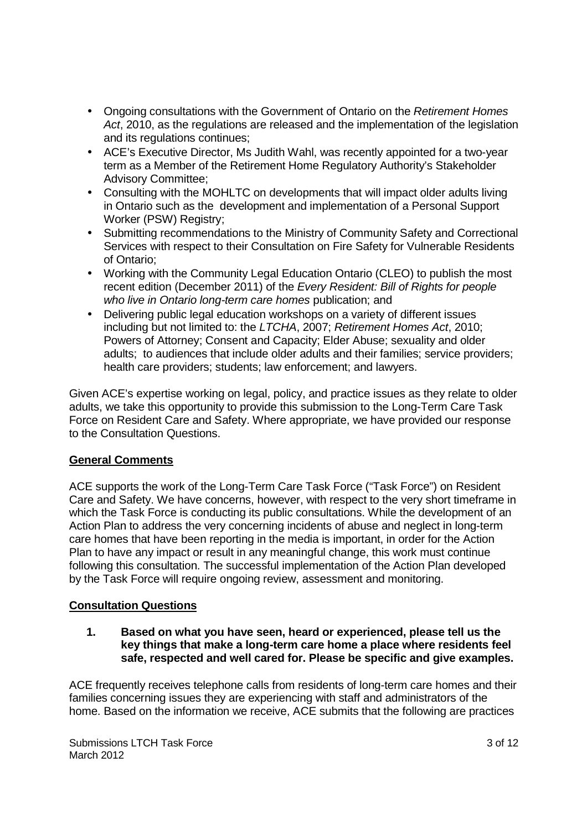- Ongoing consultations with the Government of Ontario on the Retirement Homes Act, 2010, as the regulations are released and the implementation of the legislation and its regulations continues;
- ACE's Executive Director, Ms Judith Wahl, was recently appointed for a two-year term as a Member of the Retirement Home Regulatory Authority's Stakeholder Advisory Committee;
- Consulting with the MOHLTC on developments that will impact older adults living in Ontario such as the development and implementation of a Personal Support Worker (PSW) Registry;
- Submitting recommendations to the Ministry of Community Safety and Correctional Services with respect to their Consultation on Fire Safety for Vulnerable Residents of Ontario;
- Working with the Community Legal Education Ontario (CLEO) to publish the most recent edition (December 2011) of the Every Resident: Bill of Rights for people who live in Ontario long-term care homes publication; and
- Delivering public legal education workshops on a variety of different issues including but not limited to: the LTCHA, 2007; Retirement Homes Act, 2010; Powers of Attorney; Consent and Capacity; Elder Abuse; sexuality and older adults; to audiences that include older adults and their families; service providers; health care providers; students; law enforcement; and lawyers.

Given ACE's expertise working on legal, policy, and practice issues as they relate to older adults, we take this opportunity to provide this submission to the Long-Term Care Task Force on Resident Care and Safety. Where appropriate, we have provided our response to the Consultation Questions.

#### **General Comments**

ACE supports the work of the Long-Term Care Task Force ("Task Force") on Resident Care and Safety. We have concerns, however, with respect to the very short timeframe in which the Task Force is conducting its public consultations. While the development of an Action Plan to address the very concerning incidents of abuse and neglect in long-term care homes that have been reporting in the media is important, in order for the Action Plan to have any impact or result in any meaningful change, this work must continue following this consultation. The successful implementation of the Action Plan developed by the Task Force will require ongoing review, assessment and monitoring.

## **Consultation Questions**

**1. Based on what you have seen, heard or experienced, please tell us the key things that make a long-term care home a place where residents feel safe, respected and well cared for. Please be specific and give examples.** 

ACE frequently receives telephone calls from residents of long-term care homes and their families concerning issues they are experiencing with staff and administrators of the home. Based on the information we receive, ACE submits that the following are practices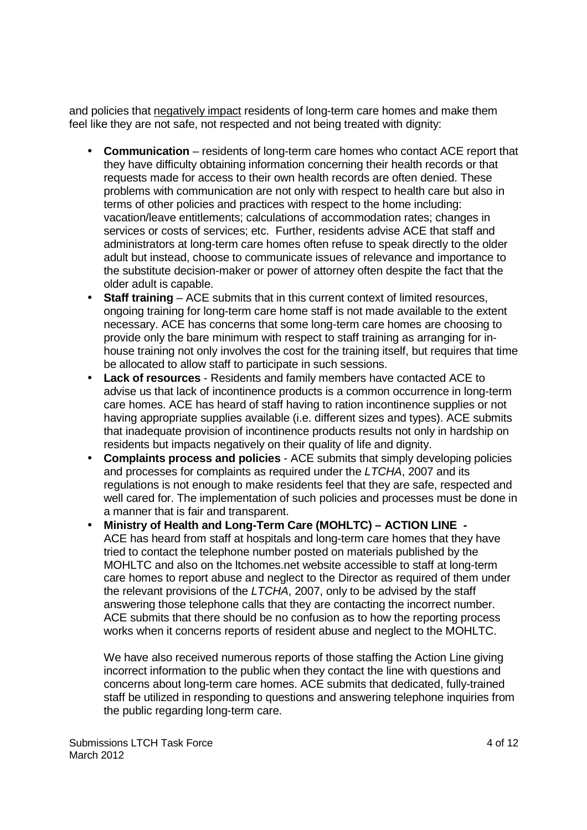and policies that negatively impact residents of long-term care homes and make them feel like they are not safe, not respected and not being treated with dignity:

- **Communication** residents of long-term care homes who contact ACE report that they have difficulty obtaining information concerning their health records or that requests made for access to their own health records are often denied. These problems with communication are not only with respect to health care but also in terms of other policies and practices with respect to the home including: vacation/leave entitlements; calculations of accommodation rates; changes in services or costs of services; etc. Further, residents advise ACE that staff and administrators at long-term care homes often refuse to speak directly to the older adult but instead, choose to communicate issues of relevance and importance to the substitute decision-maker or power of attorney often despite the fact that the older adult is capable.
- **Staff training** ACE submits that in this current context of limited resources, ongoing training for long-term care home staff is not made available to the extent necessary. ACE has concerns that some long-term care homes are choosing to provide only the bare minimum with respect to staff training as arranging for inhouse training not only involves the cost for the training itself, but requires that time be allocated to allow staff to participate in such sessions.
- **Lack of resources**  Residents and family members have contacted ACE to advise us that lack of incontinence products is a common occurrence in long-term care homes. ACE has heard of staff having to ration incontinence supplies or not having appropriate supplies available (i.e. different sizes and types). ACE submits that inadequate provision of incontinence products results not only in hardship on residents but impacts negatively on their quality of life and dignity.
- **Complaints process and policies**  ACE submits that simply developing policies and processes for complaints as required under the LTCHA, 2007 and its regulations is not enough to make residents feel that they are safe, respected and well cared for. The implementation of such policies and processes must be done in a manner that is fair and transparent.
- **Ministry of Health and Long-Term Care (MOHLTC) ACTION LINE**  ACE has heard from staff at hospitals and long-term care homes that they have tried to contact the telephone number posted on materials published by the MOHLTC and also on the ltchomes.net website accessible to staff at long-term care homes to report abuse and neglect to the Director as required of them under the relevant provisions of the LTCHA, 2007, only to be advised by the staff answering those telephone calls that they are contacting the incorrect number. ACE submits that there should be no confusion as to how the reporting process works when it concerns reports of resident abuse and neglect to the MOHLTC.

We have also received numerous reports of those staffing the Action Line giving incorrect information to the public when they contact the line with questions and concerns about long-term care homes. ACE submits that dedicated, fully-trained staff be utilized in responding to questions and answering telephone inquiries from the public regarding long-term care.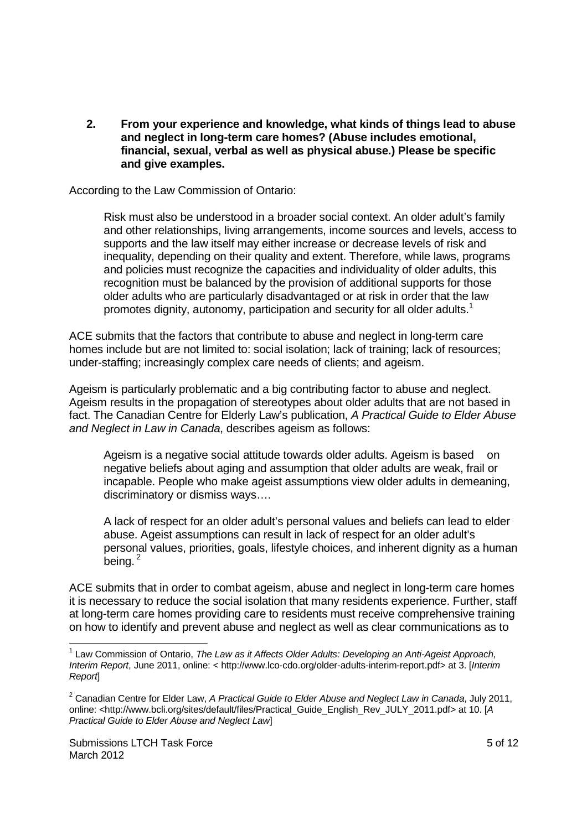**2. From your experience and knowledge, what kinds of things lead to abuse and neglect in long-term care homes? (Abuse includes emotional, financial, sexual, verbal as well as physical abuse.) Please be specific and give examples.** 

According to the Law Commission of Ontario:

Risk must also be understood in a broader social context. An older adult's family and other relationships, living arrangements, income sources and levels, access to supports and the law itself may either increase or decrease levels of risk and inequality, depending on their quality and extent. Therefore, while laws, programs and policies must recognize the capacities and individuality of older adults, this recognition must be balanced by the provision of additional supports for those older adults who are particularly disadvantaged or at risk in order that the law promotes dignity, autonomy, participation and security for all older adults.<sup>1</sup>

ACE submits that the factors that contribute to abuse and neglect in long-term care homes include but are not limited to: social isolation; lack of training; lack of resources; under-staffing; increasingly complex care needs of clients; and ageism.

Ageism is particularly problematic and a big contributing factor to abuse and neglect. Ageism results in the propagation of stereotypes about older adults that are not based in fact. The Canadian Centre for Elderly Law's publication, A Practical Guide to Elder Abuse and Neglect in Law in Canada, describes ageism as follows:

Ageism is a negative social attitude towards older adults. Ageism is based on negative beliefs about aging and assumption that older adults are weak, frail or incapable. People who make ageist assumptions view older adults in demeaning, discriminatory or dismiss ways….

A lack of respect for an older adult's personal values and beliefs can lead to elder abuse. Ageist assumptions can result in lack of respect for an older adult's personal values, priorities, goals, lifestyle choices, and inherent dignity as a human  $being.<sup>2</sup>$ 

ACE submits that in order to combat ageism, abuse and neglect in long-term care homes it is necessary to reduce the social isolation that many residents experience. Further, staff at long-term care homes providing care to residents must receive comprehensive training on how to identify and prevent abuse and neglect as well as clear communications as to

<sup>-</sup> $<sup>1</sup>$  Law Commission of Ontario, The Law as it Affects Older Adults: Developing an Anti-Ageist Approach,</sup> Interim Report, June 2011, online: < http://www.lco-cdo.org/older-adults-interim-report.pdf> at 3. [Interim Report]

<sup>&</sup>lt;sup>2</sup> Canadian Centre for Elder Law, A Practical Guide to Elder Abuse and Neglect Law in Canada, July 2011, online: <http://www.bcli.org/sites/default/files/Practical\_Guide\_English\_Rev\_JULY\_2011.pdf> at 10. [A Practical Guide to Elder Abuse and Neglect Law]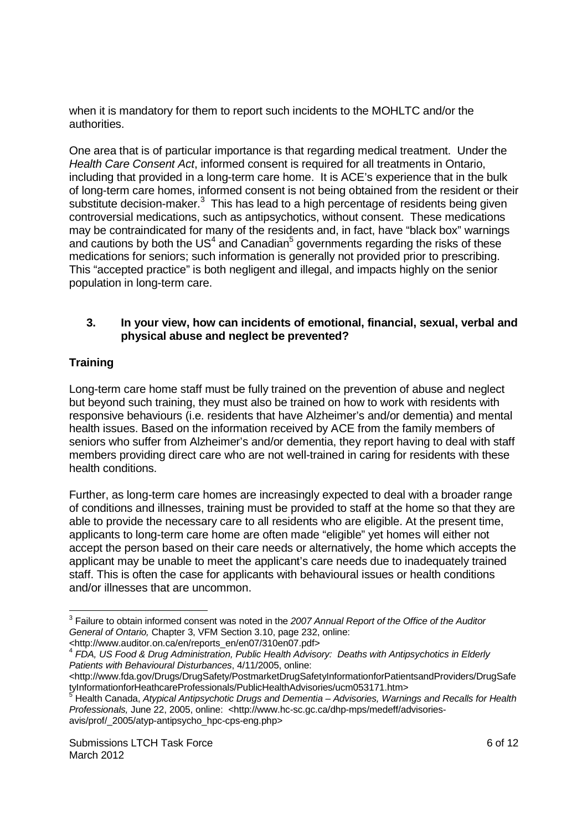when it is mandatory for them to report such incidents to the MOHLTC and/or the authorities.

One area that is of particular importance is that regarding medical treatment. Under the Health Care Consent Act, informed consent is required for all treatments in Ontario, including that provided in a long-term care home. It is ACE's experience that in the bulk of long-term care homes, informed consent is not being obtained from the resident or their substitute decision-maker. $3$  This has lead to a high percentage of residents being given controversial medications, such as antipsychotics, without consent. These medications may be contraindicated for many of the residents and, in fact, have "black box" warnings and cautions by both the US<sup>4</sup> and Canadian<sup>5</sup> governments regarding the risks of these medications for seniors; such information is generally not provided prior to prescribing. This "accepted practice" is both negligent and illegal, and impacts highly on the senior population in long-term care.

#### **3. In your view, how can incidents of emotional, financial, sexual, verbal and physical abuse and neglect be prevented?**

### **Training**

Long-term care home staff must be fully trained on the prevention of abuse and neglect but beyond such training, they must also be trained on how to work with residents with responsive behaviours (i.e. residents that have Alzheimer's and/or dementia) and mental health issues. Based on the information received by ACE from the family members of seniors who suffer from Alzheimer's and/or dementia, they report having to deal with staff members providing direct care who are not well-trained in caring for residents with these health conditions.

Further, as long-term care homes are increasingly expected to deal with a broader range of conditions and illnesses, training must be provided to staff at the home so that they are able to provide the necessary care to all residents who are eligible. At the present time, applicants to long-term care home are often made "eligible" yet homes will either not accept the person based on their care needs or alternatively, the home which accepts the applicant may be unable to meet the applicant's care needs due to inadequately trained staff. This is often the case for applicants with behavioural issues or health conditions and/or illnesses that are uncommon.

<sup>1</sup>  $3$  Failure to obtain informed consent was noted in the 2007 Annual Report of the Office of the Auditor General of Ontario, Chapter 3, VFM Section 3.10, page 232, online:

<sup>&</sup>lt;http://www.auditor.on.ca/en/reports\_en/en07/310en07.pdf> 4 FDA, US Food & Drug Administration, Public Health Advisory: Deaths with Antipsychotics in Elderly Patients with Behavioural Disturbances, 4/11/2005, online:

<sup>&</sup>lt;http://www.fda.gov/Drugs/DrugSafety/PostmarketDrugSafetyInformationforPatientsandProviders/DrugSafe tyInformationforHeathcareProfessionals/PublicHealthAdvisories/ucm053171.htm><br><sup>5</sup> Health Cenade, Atypical Antipaughotic Drugs and Demantic Advisaries, Wernin

Health Canada, Atypical Antipsychotic Drugs and Dementia – Advisories, Warnings and Recalls for Health Professionals, June 22, 2005, online: <http://www.hc-sc.gc.ca/dhp-mps/medeff/advisoriesavis/prof/\_2005/atyp-antipsycho\_hpc-cps-eng.php>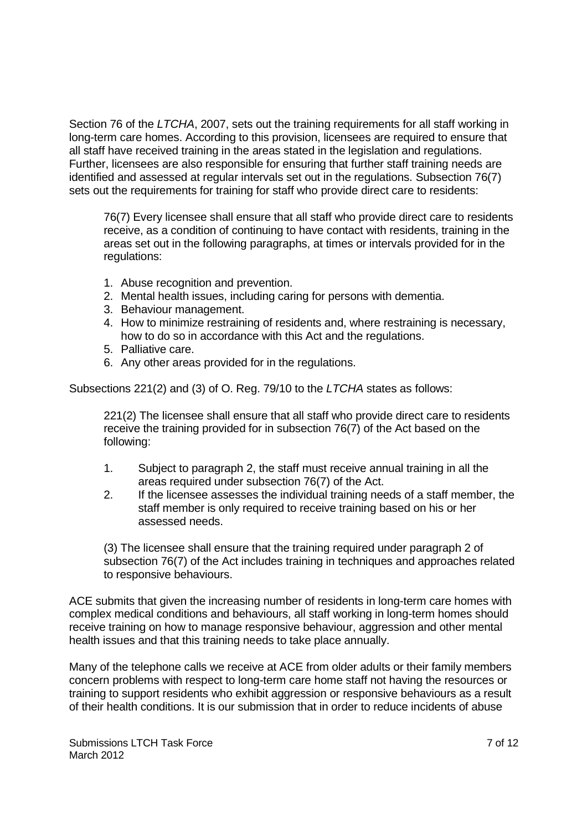Section 76 of the LTCHA, 2007, sets out the training requirements for all staff working in long-term care homes. According to this provision, licensees are required to ensure that all staff have received training in the areas stated in the legislation and regulations. Further, licensees are also responsible for ensuring that further staff training needs are identified and assessed at regular intervals set out in the regulations. Subsection 76(7) sets out the requirements for training for staff who provide direct care to residents:

76(7) Every licensee shall ensure that all staff who provide direct care to residents receive, as a condition of continuing to have contact with residents, training in the areas set out in the following paragraphs, at times or intervals provided for in the regulations:

- 1. Abuse recognition and prevention.
- 2. Mental health issues, including caring for persons with dementia.
- 3. Behaviour management.
- 4. How to minimize restraining of residents and, where restraining is necessary, how to do so in accordance with this Act and the regulations.
- 5. Palliative care.
- 6. Any other areas provided for in the regulations.

Subsections 221(2) and (3) of O. Reg. 79/10 to the LTCHA states as follows:

221(2) The licensee shall ensure that all staff who provide direct care to residents receive the training provided for in subsection 76(7) of the Act based on the following:

- 1. Subject to paragraph 2, the staff must receive annual training in all the areas required under subsection 76(7) of the Act.
- 2. If the licensee assesses the individual training needs of a staff member, the staff member is only required to receive training based on his or her assessed needs.

(3) The licensee shall ensure that the training required under paragraph 2 of subsection 76(7) of the Act includes training in techniques and approaches related to responsive behaviours.

ACE submits that given the increasing number of residents in long-term care homes with complex medical conditions and behaviours, all staff working in long-term homes should receive training on how to manage responsive behaviour, aggression and other mental health issues and that this training needs to take place annually.

Many of the telephone calls we receive at ACE from older adults or their family members concern problems with respect to long-term care home staff not having the resources or training to support residents who exhibit aggression or responsive behaviours as a result of their health conditions. It is our submission that in order to reduce incidents of abuse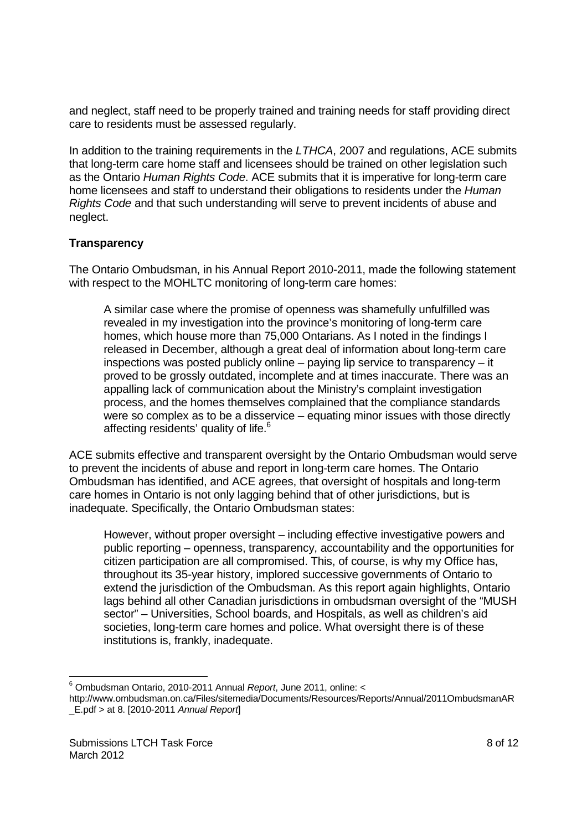and neglect, staff need to be properly trained and training needs for staff providing direct care to residents must be assessed regularly.

In addition to the training requirements in the LTHCA, 2007 and regulations, ACE submits that long-term care home staff and licensees should be trained on other legislation such as the Ontario Human Rights Code. ACE submits that it is imperative for long-term care home licensees and staff to understand their obligations to residents under the Human Rights Code and that such understanding will serve to prevent incidents of abuse and neglect.

#### **Transparency**

The Ontario Ombudsman, in his Annual Report 2010-2011, made the following statement with respect to the MOHLTC monitoring of long-term care homes:

A similar case where the promise of openness was shamefully unfulfilled was revealed in my investigation into the province's monitoring of long-term care homes, which house more than 75,000 Ontarians. As I noted in the findings I released in December, although a great deal of information about long-term care inspections was posted publicly online – paying lip service to transparency – it proved to be grossly outdated, incomplete and at times inaccurate. There was an appalling lack of communication about the Ministry's complaint investigation process, and the homes themselves complained that the compliance standards were so complex as to be a disservice – equating minor issues with those directly affecting residents' quality of life.<sup>6</sup>

ACE submits effective and transparent oversight by the Ontario Ombudsman would serve to prevent the incidents of abuse and report in long-term care homes. The Ontario Ombudsman has identified, and ACE agrees, that oversight of hospitals and long-term care homes in Ontario is not only lagging behind that of other jurisdictions, but is inadequate. Specifically, the Ontario Ombudsman states:

However, without proper oversight – including effective investigative powers and public reporting – openness, transparency, accountability and the opportunities for citizen participation are all compromised. This, of course, is why my Office has, throughout its 35-year history, implored successive governments of Ontario to extend the jurisdiction of the Ombudsman. As this report again highlights, Ontario lags behind all other Canadian jurisdictions in ombudsman oversight of the "MUSH sector" – Universities, School boards, and Hospitals, as well as children's aid societies, long-term care homes and police. What oversight there is of these institutions is, frankly, inadequate.

-

<sup>&</sup>lt;sup>6</sup> Ombudsman Ontario, 2010-2011 Annual Report, June 2011, online: <

http://www.ombudsman.on.ca/Files/sitemedia/Documents/Resources/Reports/Annual/2011OmbudsmanAR \_E.pdf > at 8. [2010-2011 Annual Report]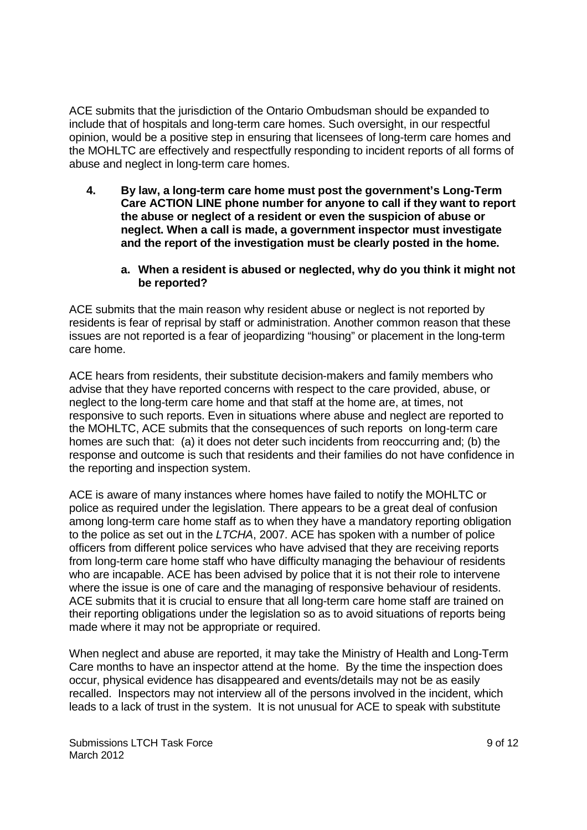ACE submits that the jurisdiction of the Ontario Ombudsman should be expanded to include that of hospitals and long-term care homes. Such oversight, in our respectful opinion, would be a positive step in ensuring that licensees of long-term care homes and the MOHLTC are effectively and respectfully responding to incident reports of all forms of abuse and neglect in long-term care homes.

- **4. By law, a long-term care home must post the government's Long-Term Care ACTION LINE phone number for anyone to call if they want to report the abuse or neglect of a resident or even the suspicion of abuse or neglect. When a call is made, a government inspector must investigate and the report of the investigation must be clearly posted in the home.** 
	- **a. When a resident is abused or neglected, why do you think it might not be reported?**

ACE submits that the main reason why resident abuse or neglect is not reported by residents is fear of reprisal by staff or administration. Another common reason that these issues are not reported is a fear of jeopardizing "housing" or placement in the long-term care home.

ACE hears from residents, their substitute decision-makers and family members who advise that they have reported concerns with respect to the care provided, abuse, or neglect to the long-term care home and that staff at the home are, at times, not responsive to such reports. Even in situations where abuse and neglect are reported to the MOHLTC, ACE submits that the consequences of such reports on long-term care homes are such that: (a) it does not deter such incidents from reoccurring and; (b) the response and outcome is such that residents and their families do not have confidence in the reporting and inspection system.

ACE is aware of many instances where homes have failed to notify the MOHLTC or police as required under the legislation. There appears to be a great deal of confusion among long-term care home staff as to when they have a mandatory reporting obligation to the police as set out in the LTCHA, 2007. ACE has spoken with a number of police officers from different police services who have advised that they are receiving reports from long-term care home staff who have difficulty managing the behaviour of residents who are incapable. ACE has been advised by police that it is not their role to intervene where the issue is one of care and the managing of responsive behaviour of residents. ACE submits that it is crucial to ensure that all long-term care home staff are trained on their reporting obligations under the legislation so as to avoid situations of reports being made where it may not be appropriate or required.

When neglect and abuse are reported, it may take the Ministry of Health and Long-Term Care months to have an inspector attend at the home. By the time the inspection does occur, physical evidence has disappeared and events/details may not be as easily recalled. Inspectors may not interview all of the persons involved in the incident, which leads to a lack of trust in the system. It is not unusual for ACE to speak with substitute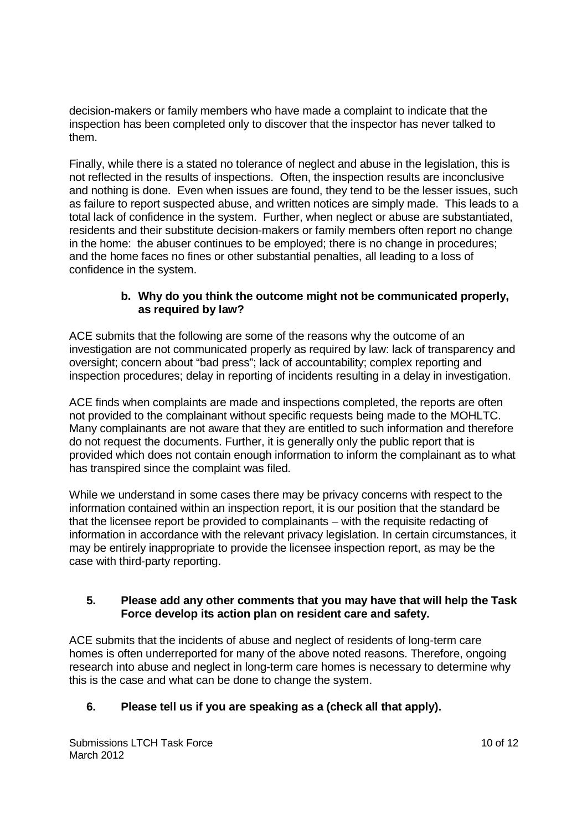decision-makers or family members who have made a complaint to indicate that the inspection has been completed only to discover that the inspector has never talked to them.

Finally, while there is a stated no tolerance of neglect and abuse in the legislation, this is not reflected in the results of inspections. Often, the inspection results are inconclusive and nothing is done. Even when issues are found, they tend to be the lesser issues, such as failure to report suspected abuse, and written notices are simply made. This leads to a total lack of confidence in the system. Further, when neglect or abuse are substantiated, residents and their substitute decision-makers or family members often report no change in the home: the abuser continues to be employed; there is no change in procedures; and the home faces no fines or other substantial penalties, all leading to a loss of confidence in the system.

#### **b. Why do you think the outcome might not be communicated properly, as required by law?**

ACE submits that the following are some of the reasons why the outcome of an investigation are not communicated properly as required by law: lack of transparency and oversight; concern about "bad press"; lack of accountability; complex reporting and inspection procedures; delay in reporting of incidents resulting in a delay in investigation.

ACE finds when complaints are made and inspections completed, the reports are often not provided to the complainant without specific requests being made to the MOHLTC. Many complainants are not aware that they are entitled to such information and therefore do not request the documents. Further, it is generally only the public report that is provided which does not contain enough information to inform the complainant as to what has transpired since the complaint was filed.

While we understand in some cases there may be privacy concerns with respect to the information contained within an inspection report, it is our position that the standard be that the licensee report be provided to complainants – with the requisite redacting of information in accordance with the relevant privacy legislation. In certain circumstances, it may be entirely inappropriate to provide the licensee inspection report, as may be the case with third-party reporting.

### **5. Please add any other comments that you may have that will help the Task Force develop its action plan on resident care and safety.**

ACE submits that the incidents of abuse and neglect of residents of long-term care homes is often underreported for many of the above noted reasons. Therefore, ongoing research into abuse and neglect in long-term care homes is necessary to determine why this is the case and what can be done to change the system.

## **6. Please tell us if you are speaking as a (check all that apply).**

Submissions LTCH Task Force March 2012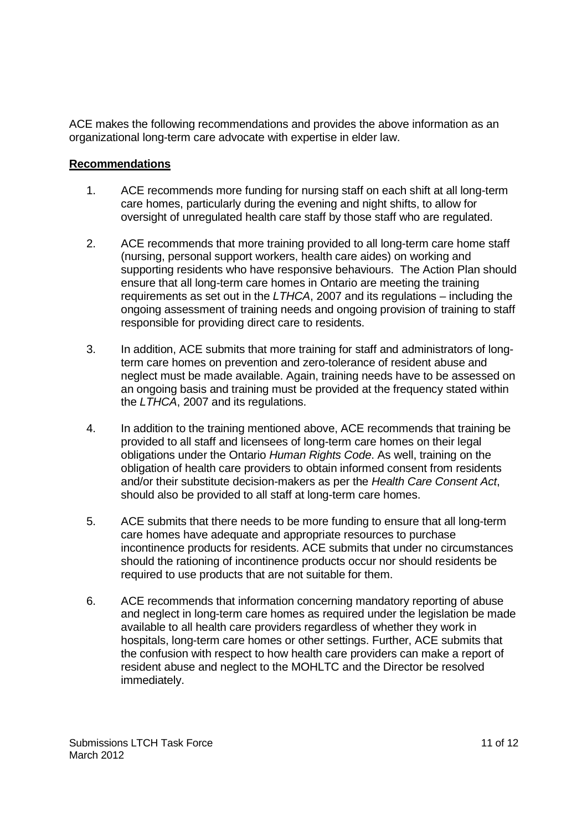ACE makes the following recommendations and provides the above information as an organizational long-term care advocate with expertise in elder law.

#### **Recommendations**

- 1. ACE recommends more funding for nursing staff on each shift at all long-term care homes, particularly during the evening and night shifts, to allow for oversight of unregulated health care staff by those staff who are regulated.
- 2. ACE recommends that more training provided to all long-term care home staff (nursing, personal support workers, health care aides) on working and supporting residents who have responsive behaviours. The Action Plan should ensure that all long-term care homes in Ontario are meeting the training requirements as set out in the  $LTHCA$ , 2007 and its regulations – including the ongoing assessment of training needs and ongoing provision of training to staff responsible for providing direct care to residents.
- 3. In addition, ACE submits that more training for staff and administrators of longterm care homes on prevention and zero-tolerance of resident abuse and neglect must be made available. Again, training needs have to be assessed on an ongoing basis and training must be provided at the frequency stated within the LTHCA, 2007 and its regulations.
- 4. In addition to the training mentioned above, ACE recommends that training be provided to all staff and licensees of long-term care homes on their legal obligations under the Ontario Human Rights Code. As well, training on the obligation of health care providers to obtain informed consent from residents and/or their substitute decision-makers as per the Health Care Consent Act, should also be provided to all staff at long-term care homes.
- 5. ACE submits that there needs to be more funding to ensure that all long-term care homes have adequate and appropriate resources to purchase incontinence products for residents. ACE submits that under no circumstances should the rationing of incontinence products occur nor should residents be required to use products that are not suitable for them.
- 6. ACE recommends that information concerning mandatory reporting of abuse and neglect in long-term care homes as required under the legislation be made available to all health care providers regardless of whether they work in hospitals, long-term care homes or other settings. Further, ACE submits that the confusion with respect to how health care providers can make a report of resident abuse and neglect to the MOHLTC and the Director be resolved immediately.